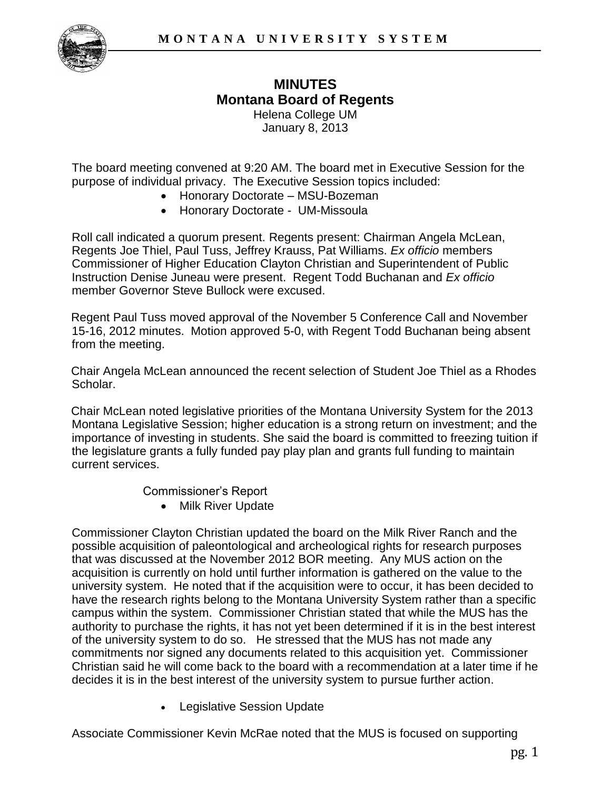

## **MINUTES Montana Board of Regents**  Helena College UM

January 8, 2013

The board meeting convened at 9:20 AM. The board met in Executive Session for the purpose of individual privacy. The Executive Session topics included:

- Honorary Doctorate MSU-Bozeman
- Honorary Doctorate UM-Missoula

Roll call indicated a quorum present. Regents present: Chairman Angela McLean, Regents Joe Thiel, Paul Tuss, Jeffrey Krauss, Pat Williams. *Ex officio* members Commissioner of Higher Education Clayton Christian and Superintendent of Public Instruction Denise Juneau were present. Regent Todd Buchanan and *Ex officio* member Governor Steve Bullock were excused.

Regent Paul Tuss moved approval of the November 5 Conference Call and November 15-16, 2012 minutes. Motion approved 5-0, with Regent Todd Buchanan being absent from the meeting.

Chair Angela McLean announced the recent selection of Student Joe Thiel as a Rhodes Scholar.

Chair McLean noted legislative priorities of the Montana University System for the 2013 Montana Legislative Session; higher education is a strong return on investment; and the importance of investing in students. She said the board is committed to freezing tuition if the legislature grants a fully funded pay play plan and grants full funding to maintain current services.

Commissioner's Report

• Milk River Update

Commissioner Clayton Christian updated the board on the Milk River Ranch and the possible acquisition of paleontological and archeological rights for research purposes that was discussed at the November 2012 BOR meeting. Any MUS action on the acquisition is currently on hold until further information is gathered on the value to the university system. He noted that if the acquisition were to occur, it has been decided to have the research rights belong to the Montana University System rather than a specific campus within the system. Commissioner Christian stated that while the MUS has the authority to purchase the rights, it has not yet been determined if it is in the best interest of the university system to do so. He stressed that the MUS has not made any commitments nor signed any documents related to this acquisition yet. Commissioner Christian said he will come back to the board with a recommendation at a later time if he decides it is in the best interest of the university system to pursue further action.

Legislative Session Update

Associate Commissioner Kevin McRae noted that the MUS is focused on supporting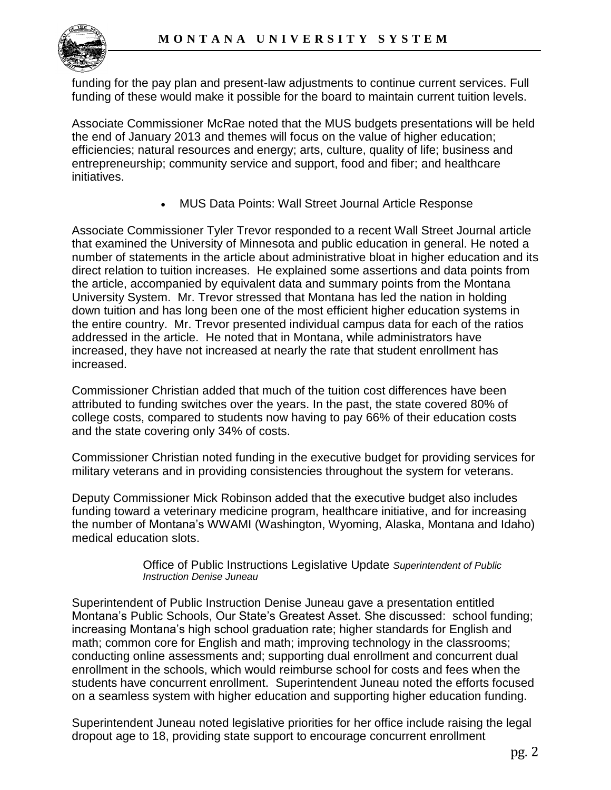

funding for the pay plan and present-law adjustments to continue current services. Full funding of these would make it possible for the board to maintain current tuition levels.

Associate Commissioner McRae noted that the MUS budgets presentations will be held the end of January 2013 and themes will focus on the value of higher education; efficiencies; natural resources and energy; arts, culture, quality of life; business and entrepreneurship; community service and support, food and fiber; and healthcare initiatives.

MUS Data Points: Wall Street Journal Article Response

Associate Commissioner Tyler Trevor responded to a recent Wall Street Journal article that examined the University of Minnesota and public education in general. He noted a number of statements in the article about administrative bloat in higher education and its direct relation to tuition increases. He explained some assertions and data points from the article, accompanied by equivalent data and summary points from the Montana University System. Mr. Trevor stressed that Montana has led the nation in holding down tuition and has long been one of the most efficient higher education systems in the entire country. Mr. Trevor presented individual campus data for each of the ratios addressed in the article. He noted that in Montana, while administrators have increased, they have not increased at nearly the rate that student enrollment has increased.

Commissioner Christian added that much of the tuition cost differences have been attributed to funding switches over the years. In the past, the state covered 80% of college costs, compared to students now having to pay 66% of their education costs and the state covering only 34% of costs.

Commissioner Christian noted funding in the executive budget for providing services for military veterans and in providing consistencies throughout the system for veterans.

Deputy Commissioner Mick Robinson added that the executive budget also includes funding toward a veterinary medicine program, healthcare initiative, and for increasing the number of Montana's WWAMI (Washington, Wyoming, Alaska, Montana and Idaho) medical education slots.

> Office of Public Instructions Legislative Update *Superintendent of Public Instruction Denise Juneau*

Superintendent of Public Instruction Denise Juneau gave a presentation entitled Montana's Public Schools, Our State's Greatest Asset. She discussed: school funding; increasing Montana's high school graduation rate; higher standards for English and math; common core for English and math; improving technology in the classrooms; conducting online assessments and; supporting dual enrollment and concurrent dual enrollment in the schools, which would reimburse school for costs and fees when the students have concurrent enrollment. Superintendent Juneau noted the efforts focused on a seamless system with higher education and supporting higher education funding.

Superintendent Juneau noted legislative priorities for her office include raising the legal dropout age to 18, providing state support to encourage concurrent enrollment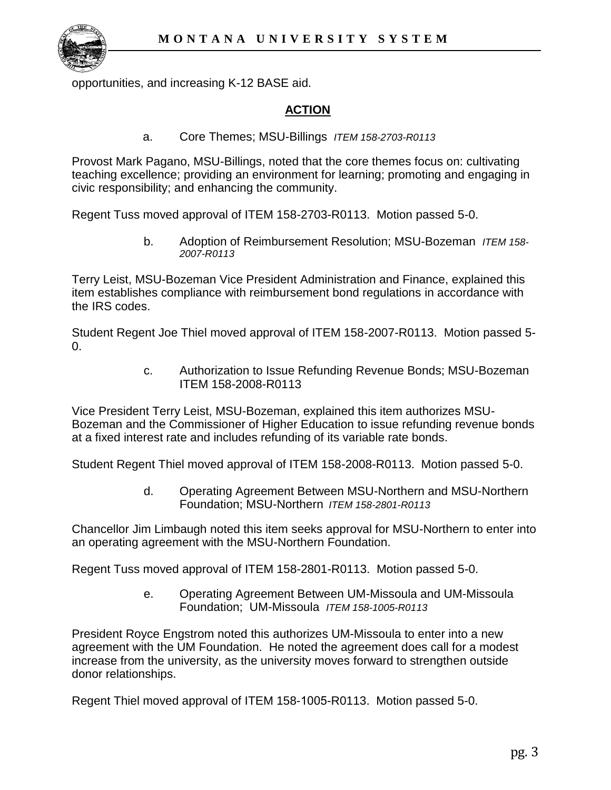

opportunities, and increasing K-12 BASE aid.

## **ACTION**

a. Core Themes; MSU-Billings *ITEM 158-2703-R0113*

Provost Mark Pagano, MSU-Billings, noted that the core themes focus on: cultivating teaching excellence; providing an environment for learning; promoting and engaging in civic responsibility; and enhancing the community.

Regent Tuss moved approval of ITEM 158-2703-R0113. Motion passed 5-0.

b. Adoption of Reimbursement Resolution; MSU-Bozeman *ITEM 158- 2007-R0113*

Terry Leist, MSU-Bozeman Vice President Administration and Finance, explained this item establishes compliance with reimbursement bond regulations in accordance with the IRS codes.

Student Regent Joe Thiel moved approval of ITEM 158-2007-R0113. Motion passed 5- 0.

> c. Authorization to Issue Refunding Revenue Bonds; MSU-Bozeman ITEM 158-2008-R0113

Vice President Terry Leist, MSU-Bozeman, explained this item authorizes MSU-Bozeman and the Commissioner of Higher Education to issue refunding revenue bonds at a fixed interest rate and includes refunding of its variable rate bonds.

Student Regent Thiel moved approval of ITEM 158-2008-R0113. Motion passed 5-0.

d. Operating Agreement Between MSU-Northern and MSU-Northern Foundation; MSU-Northern *ITEM 158-2801-R0113*

Chancellor Jim Limbaugh noted this item seeks approval for MSU-Northern to enter into an operating agreement with the MSU-Northern Foundation.

Regent Tuss moved approval of ITEM 158-2801-R0113. Motion passed 5-0.

e. Operating Agreement Between UM-Missoula and UM-Missoula Foundation; UM-Missoula *ITEM 158-1005-R0113*

President Royce Engstrom noted this authorizes UM-Missoula to enter into a new agreement with the UM Foundation. He noted the agreement does call for a modest increase from the university, as the university moves forward to strengthen outside donor relationships.

Regent Thiel moved approval of ITEM 158-1005-R0113. Motion passed 5-0.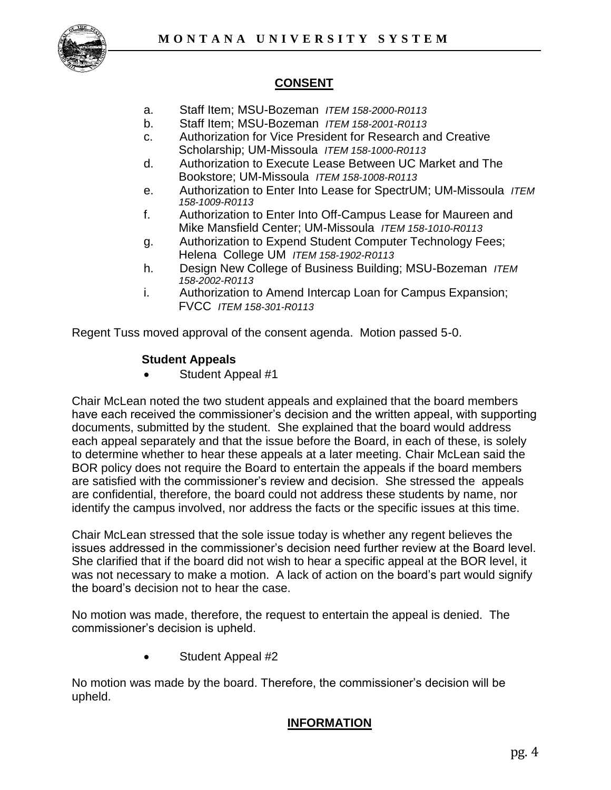

# **CONSENT**

- a. Staff Item; MSU-Bozeman *ITEM 158-2000-R0113*
- b. Staff Item; MSU-Bozeman *ITEM 158-2001-R0113*
- c. Authorization for Vice President for Research and Creative Scholarship; UM-Missoula *ITEM 158-1000-R0113*
- d. Authorization to Execute Lease Between UC Market and The Bookstore; UM-Missoula *ITEM 158-1008-R0113*
- e. Authorization to Enter Into Lease for SpectrUM; UM-Missoula *ITEM 158-1009-R0113*
- f. Authorization to Enter Into Off-Campus Lease for Maureen and Mike Mansfield Center; UM-Missoula *ITEM 158-1010-R0113*
- g. Authorization to Expend Student Computer Technology Fees; Helena College UM *ITEM 158-1902-R0113*
- h. Design New College of Business Building; MSU-Bozeman *ITEM 158-2002-R0113*
- i. Authorization to Amend Intercap Loan for Campus Expansion; FVCC *ITEM 158-301-R0113*

Regent Tuss moved approval of the consent agenda. Motion passed 5-0.

#### **Student Appeals**

Student Appeal #1

Chair McLean noted the two student appeals and explained that the board members have each received the commissioner's decision and the written appeal, with supporting documents, submitted by the student. She explained that the board would address each appeal separately and that the issue before the Board, in each of these, is solely to determine whether to hear these appeals at a later meeting. Chair McLean said the BOR policy does not require the Board to entertain the appeals if the board members are satisfied with the commissioner's review and decision. She stressed the appeals are confidential, therefore, the board could not address these students by name, nor identify the campus involved, nor address the facts or the specific issues at this time.

Chair McLean stressed that the sole issue today is whether any regent believes the issues addressed in the commissioner's decision need further review at the Board level. She clarified that if the board did not wish to hear a specific appeal at the BOR level, it was not necessary to make a motion. A lack of action on the board's part would signify the board's decision not to hear the case.

No motion was made, therefore, the request to entertain the appeal is denied. The commissioner's decision is upheld.

Student Appeal #2

No motion was made by the board. Therefore, the commissioner's decision will be upheld.

## **INFORMATION**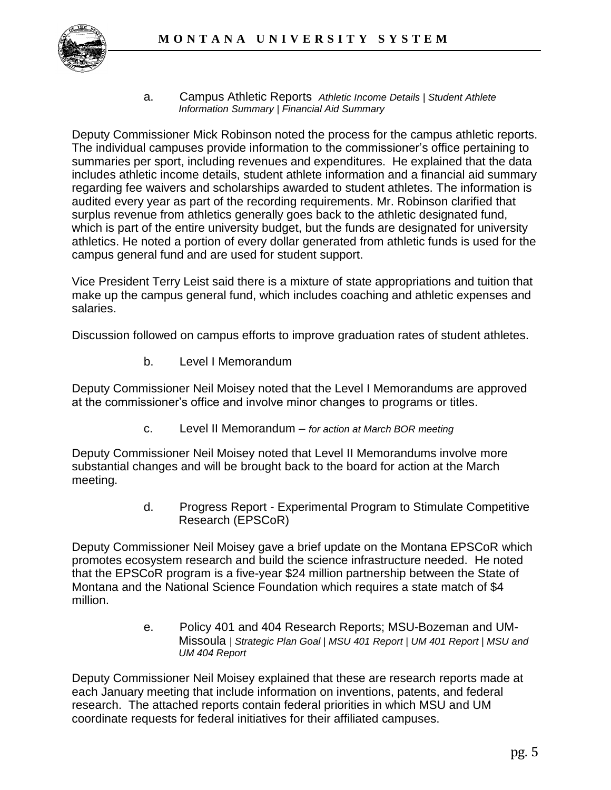

a. Campus Athletic Reports *Athletic Income Details | Student Athlete Information Summary | Financial Aid Summary*

Deputy Commissioner Mick Robinson noted the process for the campus athletic reports. The individual campuses provide information to the commissioner's office pertaining to summaries per sport, including revenues and expenditures. He explained that the data includes athletic income details, student athlete information and a financial aid summary regarding fee waivers and scholarships awarded to student athletes. The information is audited every year as part of the recording requirements. Mr. Robinson clarified that surplus revenue from athletics generally goes back to the athletic designated fund, which is part of the entire university budget, but the funds are designated for university athletics. He noted a portion of every dollar generated from athletic funds is used for the campus general fund and are used for student support.

Vice President Terry Leist said there is a mixture of state appropriations and tuition that make up the campus general fund, which includes coaching and athletic expenses and salaries.

Discussion followed on campus efforts to improve graduation rates of student athletes.

b. Level I Memorandum

Deputy Commissioner Neil Moisey noted that the Level I Memorandums are approved at the commissioner's office and involve minor changes to programs or titles.

c. Level II Memorandum – *for action at March BOR meeting*

Deputy Commissioner Neil Moisey noted that Level II Memorandums involve more substantial changes and will be brought back to the board for action at the March meeting.

> d. Progress Report - Experimental Program to Stimulate Competitive Research (EPSCoR)

Deputy Commissioner Neil Moisey gave a brief update on the Montana EPSCoR which promotes ecosystem research and build the science infrastructure needed. He noted that the EPSCoR program is a five-year \$24 million partnership between the State of Montana and the National Science Foundation which requires a state match of \$4 million.

> e. Policy 401 and 404 Research Reports; MSU-Bozeman and UM-Missoula *| Strategic Plan Goal | MSU 401 Report | UM 401 Report | MSU and UM 404 Report*

Deputy Commissioner Neil Moisey explained that these are research reports made at each January meeting that include information on inventions, patents, and federal research. The attached reports contain federal priorities in which MSU and UM coordinate requests for federal initiatives for their affiliated campuses.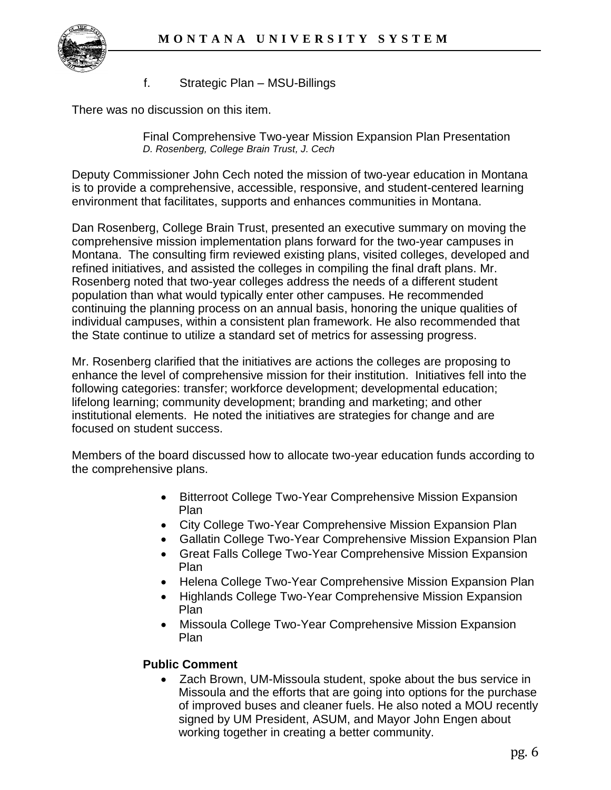

#### f. Strategic Plan – MSU-Billings

There was no discussion on this item.

Final Comprehensive Two-year Mission Expansion Plan Presentation *D. Rosenberg, College Brain Trust, J. Cech*

Deputy Commissioner John Cech noted the mission of two-year education in Montana is to provide a comprehensive, accessible, responsive, and student-centered learning environment that facilitates, supports and enhances communities in Montana.

Dan Rosenberg, College Brain Trust, presented an executive summary on moving the comprehensive mission implementation plans forward for the two-year campuses in Montana. The consulting firm reviewed existing plans, visited colleges, developed and refined initiatives, and assisted the colleges in compiling the final draft plans. Mr. Rosenberg noted that two-year colleges address the needs of a different student population than what would typically enter other campuses. He recommended continuing the planning process on an annual basis, honoring the unique qualities of individual campuses, within a consistent plan framework. He also recommended that the State continue to utilize a standard set of metrics for assessing progress.

Mr. Rosenberg clarified that the initiatives are actions the colleges are proposing to enhance the level of comprehensive mission for their institution. Initiatives fell into the following categories: transfer; workforce development; developmental education; lifelong learning; community development; branding and marketing; and other institutional elements. He noted the initiatives are strategies for change and are focused on student success.

Members of the board discussed how to allocate two-year education funds according to the comprehensive plans.

- Bitterroot College Two-Year Comprehensive Mission Expansion Plan
- City College Two-Year Comprehensive Mission Expansion Plan
- Gallatin College Two-Year Comprehensive Mission Expansion Plan
- Great Falls College Two-Year Comprehensive Mission Expansion Plan
- Helena College Two-Year Comprehensive Mission Expansion Plan
- Highlands College Two-Year Comprehensive Mission Expansion Plan
- Missoula College Two-Year Comprehensive Mission Expansion Plan

## **Public Comment**

 Zach Brown, UM-Missoula student, spoke about the bus service in Missoula and the efforts that are going into options for the purchase of improved buses and cleaner fuels. He also noted a MOU recently signed by UM President, ASUM, and Mayor John Engen about working together in creating a better community.